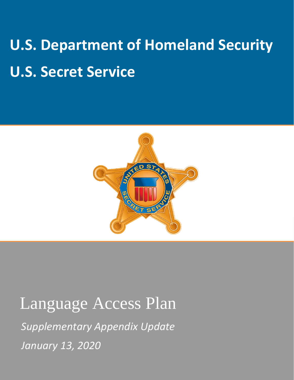# **U.S. Department of Homeland Security U.S. Secret Service**



## Language Access Plan

*Supplementary Appendix Update January 13, 2020*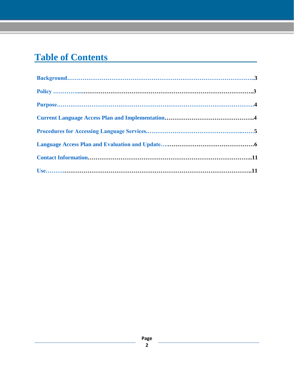## **Table of Contents**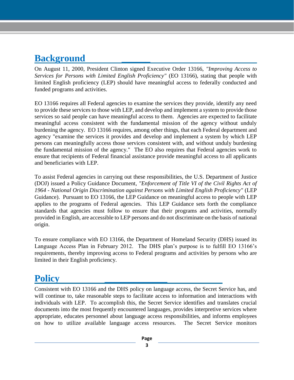## <span id="page-2-0"></span>**Background**

On August 11, 2000, President Clinton signed Executive Order 13166, *"Improving Access to Services for Persons with Limited English Proficiency"* (EO 13166), stating that people with limited English proficiency (LEP) should have meaningful access to federally conducted and funded programs and activities.

**\_\_\_\_\_\_**

EO 13166 requires all Federal agencies to examine the services they provide, identify any need to provide these services to those with LEP, and develop and implement a system to provide those services so said people can have meaningful access to them. Agencies are expected to facilitate meaningful access consistent with the fundamental mission of the agency without unduly burdening the agency. EO 13166 requires, among other things, that each Federal department and agency "examine the services it provides and develop and implement a system by which LEP persons can meaningfully access those services consistent with, and without unduly burdening the fundamental mission of the agency." The EO also requires that Federal agencies work to ensure that recipients of Federal financial assistance provide meaningful access to all applicants and beneficiaries with LEP.

To assist Federal agencies in carrying out these responsibilities, the U.S. Department of Justice (DOJ) issued a Policy Guidance Document, *"Enforcement of Title VI of the Civil Rights Act of 1964* - *National Origin Discrimination against Persons with Limited English Proficiency"* (LEP Guidance). Pursuant to EO 13166, the LEP Guidance on meaningful access to people with LEP applies to the programs of Federal agencies. This LEP Guidance sets forth the compliance standards that agencies must follow to ensure that their programs and activities, normally provided in English, are accessible to LEP persons and do not discriminate on the basis of national origin.

To ensure compliance with EO 13166, the Department of Homeland Security (DHS) issued its Language Access Plan in February 2012. The DHS plan's purpose is to fulfill EO 13166's requirements, thereby improving access to Federal programs and activities by persons who are limited in their English proficiency.

## <span id="page-2-1"></span>**Policy**

Consistent with EO 13166 and the DHS policy on language access, the Secret Service has, and will continue to, take reasonable steps to facilitate access to information and interactions with individuals with LEP. To accomplish this, the Secret Service identifies and translates crucial documents into the most frequently encountered languages, provides interpretive services where appropriate, educates personnel about language access responsibilities, and informs employees on how to utilize available language access resources. The Secret Service monitors

**\_\_\_\_\_\_\_\_\_\_\_\_\_**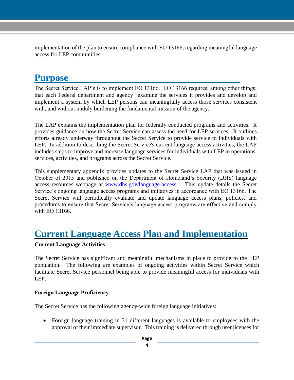implementation of the plan to ensure compliance with EO 13166, regarding meaningful language access for LEP communities.

## <span id="page-3-0"></span>**Purpose**

The Secret Service LAP's is to implement EO 13166. EO 13166 requires, among other things, that each Federal department and agency "examine the services it provides and develop and implement a system by which LEP persons can meaningfully access those services consistent with, and without unduly burdening the fundamental mission of the agency."

The LAP explains the implementation plan for federally conducted programs and activities. It provides guidance on how the Secret Service can assess the need for LEP services. It outlines efforts already underway throughout the Secret Service to provide service to individuals with LEP. In addition to describing the Secret Service's current language access activities, the LAP includes steps to improve and increase language services for individuals with LEP in operations, services, activities, and programs across the Secret Service.

This supplementary appendix provides updates to the Secret Service LAP that was issued in October of 2015 and published on the Department of Homeland's Security (DHS) language access resources webpage at [www.dhs.gov/language-access.](http://www.dhs.gov/language-access) This update details the Secret Service's ongoing language access programs and initiatives in accordance with EO 13166. The Secret Service will periodically evaluate and update language access plans, policies, and procedures to ensure that Secret Service's language access programs are effective and comply with EO 13166.

## <span id="page-3-1"></span>**Current Language Access Plan and Implementation**

#### **Current Language Activities**

The Secret Service has significant and meaningful mechanisms in place to provide to the LEP population. The following are examples of ongoing activities within Secret Service which facilitate Secret Service personnel being able to provide meaningful access for individuals with LEP.

#### **Foreign Language Proficiency**

The Secret Service has the following agency-wide foreign language initiatives:

 Foreign language training in 31 different languages is available to employees with the approval of their immediate supervisor. This training is delivered through user licenses for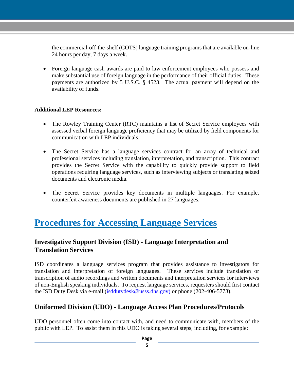the commercial-off-the-shelf (COTS) language training programs that are available on-line 24 hours per day, 7 days a week.

 Foreign language cash awards are paid to law enforcement employees who possess and make substantial use of foreign language in the performance of their official duties. These payments are authorized by 5 U.S.C. § 4523. The actual payment will depend on the availability of funds.

#### **Additional LEP Resources:**

- The Rowley Training Center (RTC) maintains a list of Secret Service employees with assessed verbal foreign language proficiency that may be utilized by field components for communication with LEP individuals.
- The Secret Service has a language services contract for an array of technical and professional services including translation, interpretation, and transcription. This contract provides the Secret Service with the capability to quickly provide support to field operations requiring language services, such as interviewing subjects or translating seized documents and electronic media.
- The Secret Service provides key documents in multiple languages. For example, counterfeit awareness documents are published in 27 languages.

## <span id="page-4-0"></span>**Procedures for Accessing Language Services**

#### **Investigative Support Division (ISD) - Language Interpretation and Translation Services**

ISD coordinates a language services program that provides assistance to investigators for translation and interpretation of foreign languages. These services include translation or transcription of audio recordings and written documents and interpretation services for interviews of non-English speaking individuals. To request language services, requesters should first contact the ISD Duty Desk via e-mail (isddutydesk@usss.dhs.gov) or phone (202-406-5773).

#### **Uniformed Division (UDO) - Language Access Plan Procedures/Protocols**

UDO personnel often come into contact with, and need to communicate with, members of the public with LEP. To assist them in this UDO is taking several steps, including, for example: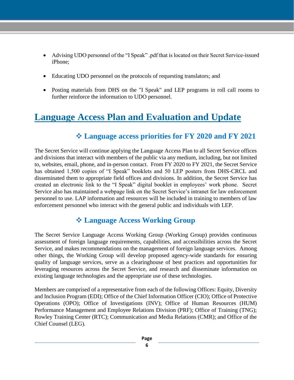- Advising UDO personnel of the "I Speak" .pdf that is located on their Secret Service-issued iPhone;
- Educating UDO personnel on the protocols of requesting translators; and
- Posting materials from DHS on the "I Speak" and LEP programs in roll call rooms to further reinforce the information to UDO personnel.

## <span id="page-5-0"></span>**Language Access Plan and Evaluation and Update**

#### **Language access priorities for FY 2020 and FY 2021**

The Secret Service will continue applying the Language Access Plan to all Secret Service offices and divisions that interact with members of the public via any medium, including, but not limited to, websites, email, phone, and in-person contact. From FY 2020 to FY 2021, the Secret Service has obtained 1,500 copies of "I Speak" booklets and 50 LEP posters from DHS-CRCL and disseminated them to appropriate field offices and divisions. In addition, the Secret Service has created an electronic link to the "I Speak" digital booklet in employees' work phone. Secret Service also has maintained a webpage link on the Secret Service's intranet for law enforcement personnel to use. LAP information and resources will be included in training to members of law enforcement personnel who interact with the general public and individuals with LEP.

#### **Language Access Working Group**

The Secret Service Language Access Working Group (Working Group) provides continuous assessment of foreign language requirements, capabilities, and accessibilities across the Secret Service, and makes recommendations on the management of foreign language services. Among other things, the Working Group will develop proposed agency-wide standards for ensuring quality of language services, serve as a clearinghouse of best practices and opportunities for leveraging resources across the Secret Service, and research and disseminate information on existing language technologies and the appropriate use of these technologies.

Members are comprised of a representative from each of the following Offices: Equity, Diversity and Inclusion Program (EDI); Office of the Chief Information Officer (CIO); Office of Protective Operations (OPO); Office of Investigations (INV); Office of Human Resources (HUM) Performance Management and Employee Relations Division (PRF); Office of Training (TNG); Rowley Training Center (RTC); Communication and Media Relations (CMR); and Office of the Chief Counsel (LEG).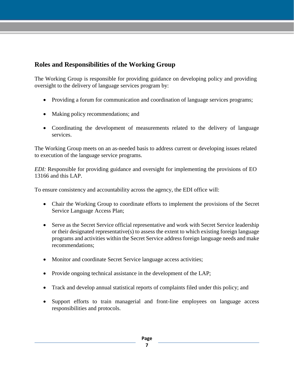#### **Roles and Responsibilities of the Working Group**

The Working Group is responsible for providing guidance on developing policy and providing oversight to the delivery of language services program by:

- Providing a forum for communication and coordination of language services programs;
- Making policy recommendations; and
- Coordinating the development of measurements related to the delivery of language services.

The Working Group meets on an as-needed basis to address current or developing issues related to execution of the language service programs.

*EDI:* Responsible for providing guidance and oversight for implementing the provisions of EO 13166 and this LAP.

To ensure consistency and accountability across the agency, the EDI office will:

- Chair the Working Group to coordinate efforts to implement the provisions of the Secret Service Language Access Plan;
- Serve as the Secret Service official representative and work with Secret Service leadership or their designated representative(s) to assess the extent to which existing foreign language programs and activities within the Secret Service address foreign language needs and make recommendations;
- Monitor and coordinate Secret Service language access activities;
- Provide ongoing technical assistance in the development of the LAP;
- Track and develop annual statistical reports of complaints filed under this policy; and
- Support efforts to train managerial and front-line employees on language access responsibilities and protocols.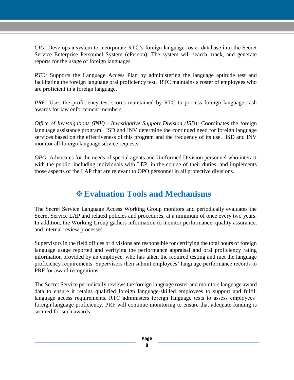*CIO:* Develops a system to incorporate RTC's foreign language roster database into the Secret Service Enterprise Personnel System (ePerson). The system will search, track, and generate reports for the usage of foreign languages.

*RTC:* Supports the Language Access Plan by administering the language aptitude test and facilitating the foreign language oral proficiency test. RTC maintains a roster of employees who are proficient in a foreign language.

*PRF*: Uses the proficiency test scores maintained by RTC to process foreign language cash awards for law enforcement members.

*Office of Investigations (INV) - Investigative Support Division (ISD):* Coordinates the foreign language assistance program. ISD and INV determine the continued need for foreign language services based on the effectiveness of this program and the frequency of its use. ISD and INV monitor all foreign language service requests.

*OPO*: Advocates for the needs of special agents and Uniformed Division personnel who interact with the public, including individuals with LEP, in the course of their duties; and implements those aspects of the LAP that are relevant to OPO personnel in all protective divisions.

## **Evaluation Tools and Mechanisms**

The Secret Service Language Access Working Group monitors and periodically evaluates the Secret Service LAP and related policies and procedures, at a minimum of once every two years. In addition, the Working Group gathers information to monitor performance, quality assurance, and internal review processes.

Supervisors in the field offices or divisions are responsible for certifying the total hours of foreign language usage reported and verifying the performance appraisal and oral proficiency rating information provided by an employee, who has taken the required testing and met the language proficiency requirements. Supervisors then submit employees' language performance records to PRF for award recognitions.

The Secret Service periodically reviews the foreign language roster and monitors language award data to ensure it retains qualified foreign language-skilled employees to support and fulfill language access requirements. RTC administers foreign language tests to assess employees' foreign language proficiency. PRF will continue monitoring to ensure that adequate funding is secured for such awards.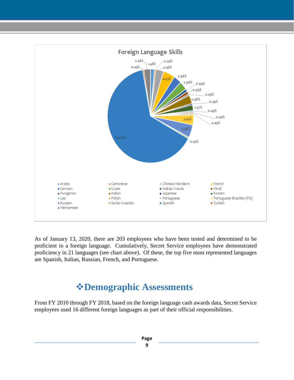

As of January 13, 2020, there are 203 employees who have been tested and determined to be proficient in a foreign language. Cumulatively, Secret Service employees have demonstrated proficiency in 21 languages (see chart above). Of these, the top five most represented languages are Spanish, Italian, Russian, French, and Portuguese.

## **Demographic Assessments**

From FY 2010 through FY 2018, based on the foreign language cash awards data, Secret Service employees used 16 different foreign languages as part of their official responsibilities.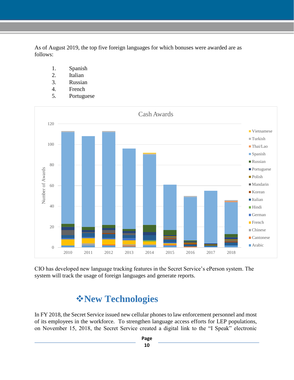As of August 2019, the top five foreign languages for which bonuses were awarded are as follows:

- 1. Spanish
- 2. Italian
- 3. Russian
- 4. French
- 5. Portuguese



CIO has developed new language tracking features in the Secret Service's ePerson system. The system will track the usage of foreign languages and generate reports.

## **New Technologies**

In FY 2018, the Secret Service issued new cellular phones to law enforcement personnel and most of its employees in the workforce. To strengthen language access efforts for LEP populations, on November 15, 2018, the Secret Service created a digital link to the "I Speak" electronic